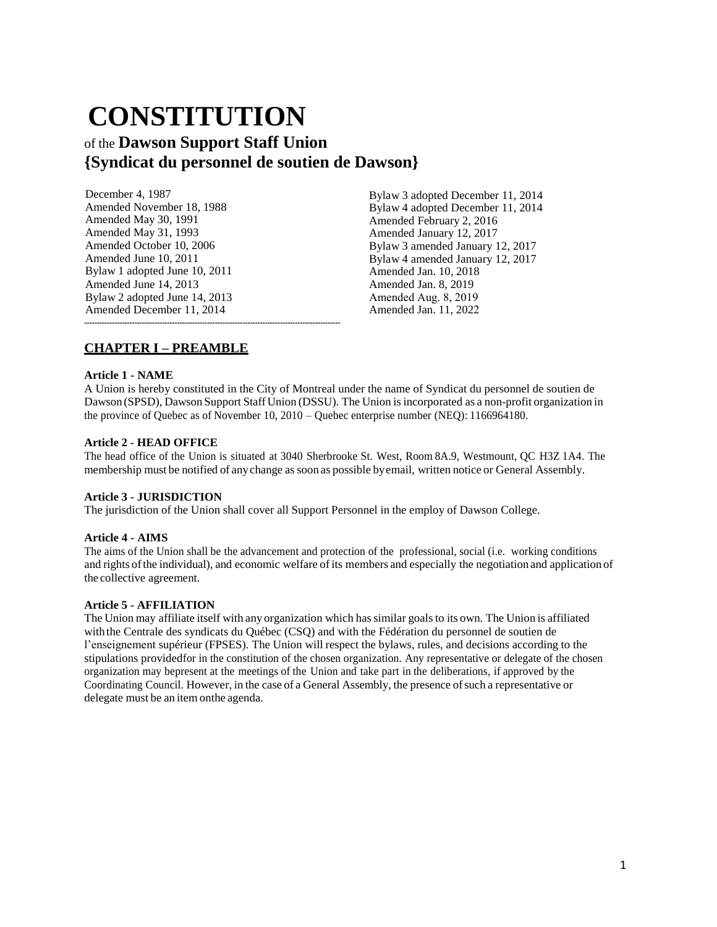# **CONSTITUTION**

## of the **Dawson Support Staff Union {Syndicat du personnel de soutien de Dawson}**

| December 4, 1987              |
|-------------------------------|
| Amended November 18, 1988     |
| Amended May 30, 1991          |
| Amended May 31, 1993          |
| Amended October 10, 2006      |
| Amended June 10, 2011         |
| Bylaw 1 adopted June 10, 2011 |
| Amended June 14, 2013         |
| Bylaw 2 adopted June 14, 2013 |
| Amended December 11, 2014     |
|                               |

Bylaw 3 adopted December 11, 2014 Bylaw 4 adopted December 11, 2014 Amended February 2, 2016 Amended January 12, 2017 Bylaw 3 amended January 12, 2017 Bylaw 4 amended January 12, 2017 Amended Jan. 10, 2018 Amended Jan. 8, 2019 Amended Aug. 8, 2019 Amended Jan. 11, 2022

## **CHAPTER I – PREAMBLE**

#### **Article 1 - NAME**

A Union is hereby constituted in the City of Montreal under the name of Syndicat du personnel de soutien de Dawson (SPSD), Dawson Support StaffUnion (DSSU). The Union isincorporated as a non-profit organization in the province of Quebec as of November 10, 2010 – Quebec enterprise number (NEQ): 1166964180.

#### **Article 2 - HEAD OFFICE**

The head office of the Union is situated at 3040 Sherbrooke St. West, Room 8A.9, Westmount, QC H3Z 1A4. The membership must be notified of anychange assoon as possible byemail, written notice or General Assembly.

#### **Article 3 - JURISDICTION**

The jurisdiction of the Union shall cover all Support Personnel in the employ of Dawson College.

#### **Article 4 - AIMS**

The aims of the Union shall be the advancement and protection of the professional, social (i.e. working conditions and rights of the individual), and economic welfare of its members and especially the negotiation and application of the collective agreement.

#### **Article 5 - AFFILIATION**

The Union may affiliate itself with any organization which hassimilar goalsto its own. The Union is affiliated with the Centrale des syndicats du Québec (CSQ) and with the Fédération du personnel de soutien de l'enseignement supérieur (FPSES). The Union will respect the bylaws, rules, and decisions according to the stipulations providedfor in the constitution of the chosen organization. Any representative or delegate of the chosen organization may bepresent at the meetings of the Union and take part in the deliberations, if approved by the Coordinating Council. However, in the case of a General Assembly, the presence ofsuch a representative or delegate must be an itemonthe agenda.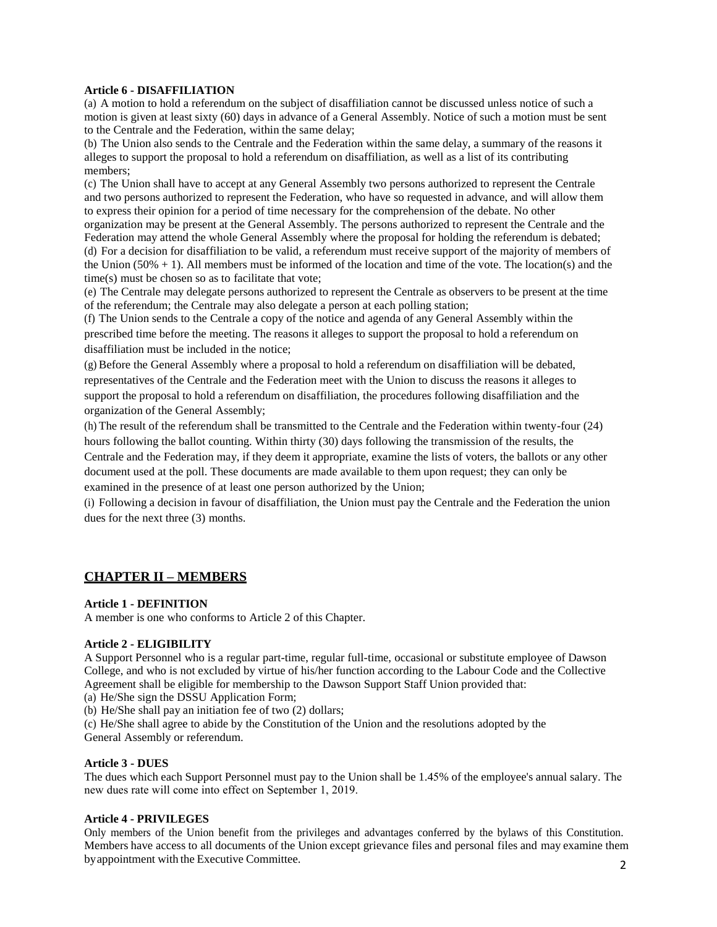#### **Article 6 - DISAFFILIATION**

(a) A motion to hold a referendum on the subject of disaffiliation cannot be discussed unless notice of such a motion is given at least sixty (60) days in advance of a General Assembly. Notice of such a motion must be sent to the Centrale and the Federation, within the same delay;

(b) The Union also sends to the Centrale and the Federation within the same delay, a summary of the reasons it alleges to support the proposal to hold a referendum on disaffiliation, as well as a list of its contributing members;

(c) The Union shall have to accept at any General Assembly two persons authorized to represent the Centrale and two persons authorized to represent the Federation, who have so requested in advance, and will allow them to express their opinion for a period of time necessary for the comprehension of the debate. No other

organization may be present at the General Assembly. The persons authorized to represent the Centrale and the Federation may attend the whole General Assembly where the proposal for holding the referendum is debated; (d) For a decision for disaffiliation to be valid, a referendum must receive support of the majority of members of the Union (50% + 1). All members must be informed of the location and time of the vote. The location(s) and the time(s) must be chosen so as to facilitate that vote;

(e) The Centrale may delegate persons authorized to represent the Centrale as observers to be present at the time of the referendum; the Centrale may also delegate a person at each polling station;

(f) The Union sends to the Centrale a copy of the notice and agenda of any General Assembly within the prescribed time before the meeting. The reasons it alleges to support the proposal to hold a referendum on disaffiliation must be included in the notice;

(g) Before the General Assembly where a proposal to hold a referendum on disaffiliation will be debated, representatives of the Centrale and the Federation meet with the Union to discuss the reasons it alleges to support the proposal to hold a referendum on disaffiliation, the procedures following disaffiliation and the organization of the General Assembly;

(h) The result of the referendum shall be transmitted to the Centrale and the Federation within twenty-four (24) hours following the ballot counting. Within thirty (30) days following the transmission of the results, the Centrale and the Federation may, if they deem it appropriate, examine the lists of voters, the ballots or any other document used at the poll. These documents are made available to them upon request; they can only be examined in the presence of at least one person authorized by the Union;

(i) Following a decision in favour of disaffiliation, the Union must pay the Centrale and the Federation the union dues for the next three (3) months.

## **CHAPTER II – MEMBERS**

#### **Article 1 - DEFINITION**

A member is one who conforms to Article 2 of this Chapter.

#### **Article 2 - ELIGIBILITY**

A Support Personnel who is a regular part-time, regular full-time, occasional or substitute employee of Dawson College, and who is not excluded by virtue of his/her function according to the Labour Code and the Collective Agreement shall be eligible for membership to the Dawson Support Staff Union provided that:

(a) He/She sign the DSSU Application Form;

(b) He/She shall pay an initiation fee of two (2) dollars;

(c) He/She shall agree to abide by the Constitution of the Union and the resolutions adopted by the General Assembly or referendum.

#### **Article 3 - DUES**

The dues which each Support Personnel must pay to the Union shall be 1.45% of the employee's annual salary. The new dues rate will come into effect on September 1, 2019.

#### **Article 4 - PRIVILEGES**

2 Only members of the Union benefit from the privileges and advantages conferred by the bylaws of this Constitution. Members have access to all documents of the Union except grievance files and personal files and may examine them byappointment with the Executive Committee.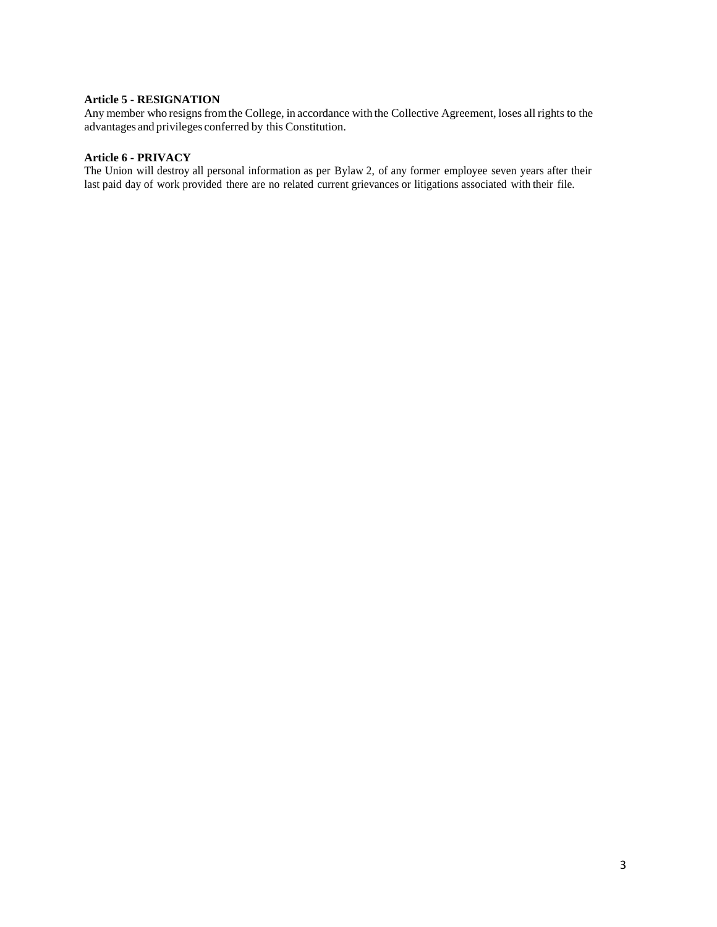#### **Article 5 - RESIGNATION**

Any member who resigns from the College, in accordance with the Collective Agreement, loses all rights to the advantages and privileges conferred by this Constitution.

#### **Article 6 - PRIVACY**

The Union will destroy all personal information as per Bylaw 2, of any former employee seven years after their last paid day of work provided there are no related current grievances or litigations associated with their file.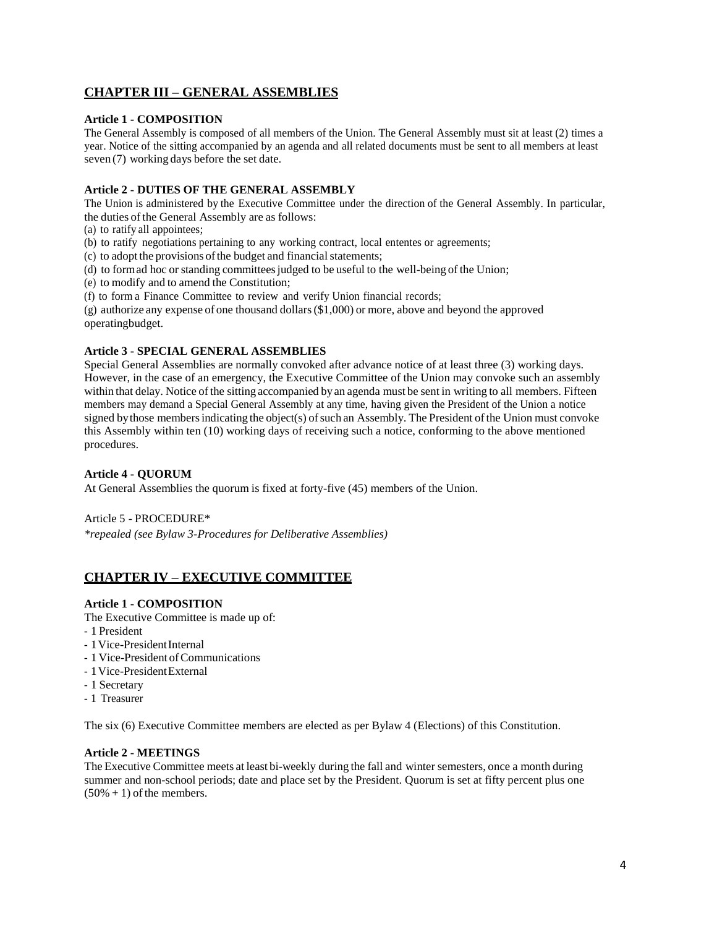## **CHAPTER III – GENERAL ASSEMBLIES**

#### **Article 1 - COMPOSITION**

The General Assembly is composed of all members of the Union. The General Assembly must sit at least (2) times a year. Notice of the sitting accompanied by an agenda and all related documents must be sent to all members at least seven (7) working days before the set date.

### **Article 2 - DUTIES OF THE GENERAL ASSEMBLY**

The Union is administered by the Executive Committee under the direction of the General Assembly. In particular, the duties of the General Assembly are as follows:

- (a) to ratify all appointees;
- (b) to ratify negotiations pertaining to any working contract, local ententes or agreements;

(c) to adopt the provisions of the budget and financial statements;

- (d) to formad hoc or standing committees judged to be useful to the well-being of the Union;
- (e) to modify and to amend the Constitution;
- (f) to form a Finance Committee to review and verify Union financial records;

(g) authorize any expense of one thousand dollars(\$1,000) or more, above and beyond the approved operatingbudget.

#### **Article 3 - SPECIAL GENERAL ASSEMBLIES**

Special General Assemblies are normally convoked after advance notice of at least three (3) working days. However, in the case of an emergency, the Executive Committee of the Union may convoke such an assembly within that delay. Notice of the sitting accompanied by an agenda must be sent in writing to all members. Fifteen members may demand a Special General Assembly at any time, having given the President of the Union a notice signed by those members indicating the object(s) of such an Assembly. The President of the Union must convoke this Assembly within ten (10) working days of receiving such a notice, conforming to the above mentioned procedures.

#### **Article 4 - QUORUM**

At General Assemblies the quorum is fixed at forty-five (45) members of the Union.

Article 5 - PROCEDURE\*

*\*repealed (see Bylaw 3-Procedures for Deliberative Assemblies)*

## **CHAPTER IV – EXECUTIVE COMMITTEE**

#### **Article 1 - COMPOSITION**

The Executive Committee is made up of:

- 1 President
- 1 Vice-President Internal
- 1 Vice-President of Communications
- 1Vice-PresidentExternal
- 1 Secretary
- 1 Treasurer

The six (6) Executive Committee members are elected as per Bylaw 4 (Elections) of this Constitution.

#### **Article 2 - MEETINGS**

The Executive Committee meets at least bi-weekly during the fall and winter semesters, once a month during summer and non-school periods; date and place set by the President. Quorum is set at fifty percent plus one  $(50\% + 1)$  of the members.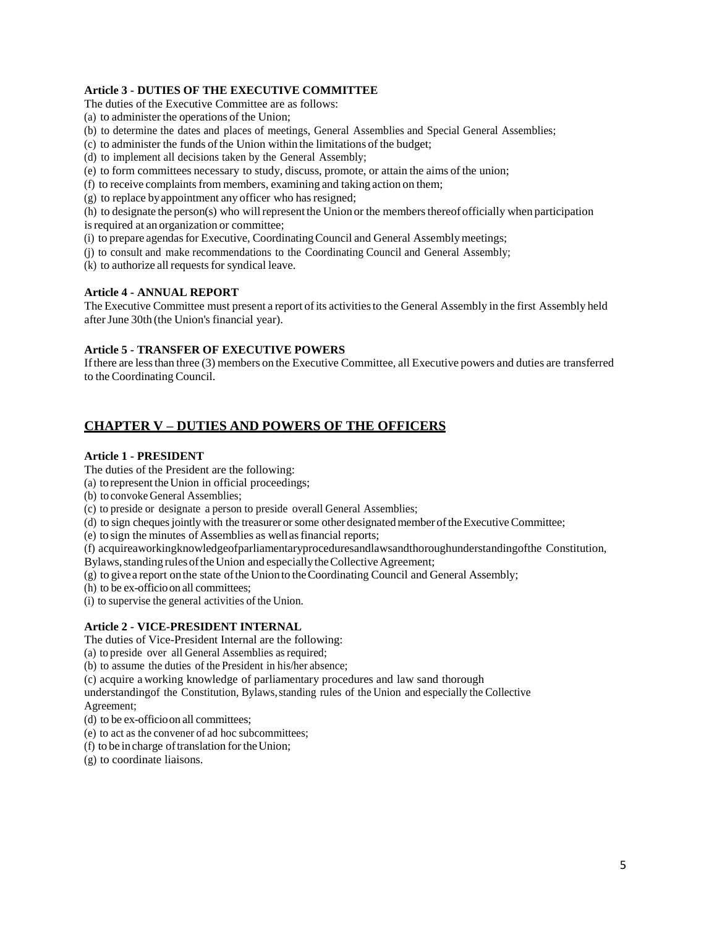## **Article 3 - DUTIES OF THE EXECUTIVE COMMITTEE**

The duties of the Executive Committee are as follows:

- (a) to administer the operations of the Union;
- (b) to determine the dates and places of meetings, General Assemblies and Special General Assemblies;
- (c) to administer the funds ofthe Union within the limitations of the budget;
- (d) to implement all decisions taken by the General Assembly;
- (e) to form committees necessary to study, discuss, promote, or attain the aims of the union;
- $(f)$  to receive complaints from members, examining and taking action on them;
- (g) to replace byappointment any officer who hasresigned;

(h) to designate the person(s) who will represent the Union or the members thereof officially when participation is required at an organization or committee;

- (i) to prepare agendas for Executive, Coordinating Council and General Assembly meetings;
- (j) to consult and make recommendations to the Coordinating Council and General Assembly;
- $(k)$  to authorize all requests for syndical leave.

#### **Article 4 - ANNUAL REPORT**

The Executive Committee must present a report ofits activitiesto the General Assembly in the first Assembly held afterJune 30th (the Union's financial year).

#### **Article 5 - TRANSFER OF EXECUTIVE POWERS**

Ifthere are lessthan three (3) members on the Executive Committee, all Executive powers and duties are transferred to the Coordinating Council.

## **CHAPTER V – DUTIES AND POWERS OF THE OFFICERS**

#### **Article 1 - PRESIDENT**

The duties of the President are the following:

- (a) to represent theUnion in official proceedings;
- (b) to convoke General Assemblies;
- (c) to preside or designate a person to preside overall General Assemblies;
- (d) to sign chequesjointlywith the treasurerorsome other designatedmember oftheExecutiveCommittee;

(e) to sign the minutes of Assemblies as wellasfinancial reports;

(f) acquireaworkingknowledgeofparliamentaryproceduresandlawsandthoroughunderstandingofthe Constitution,

Bylaws, standing rules of the Union and especially the Collective Agreement;

- (g) to givea report onthe state ofthe Unionto theCoordinating Council and General Assembly;
- (h) to be ex-officio on all committees;
- (i) to supervise the general activities of the Union.

#### **Article 2 - VICE-PRESIDENT INTERNAL**

The duties of Vice-President Internal are the following:

- (a) to preside over all General Assemblies as required;
- (b) to assume the duties of the President in his/her absence;

(c) acquire a working knowledge of parliamentary procedures and law sand thorough

understandingof the Constitution, Bylaws,standing rules of the Union and especially the Collective Agreement;

- (d) to be ex-officioon all committees;
- (e) to act as the convener of ad hoc subcommittees;
- (f) to be in charge oftranslation fortheUnion;
- (g) to coordinate liaisons.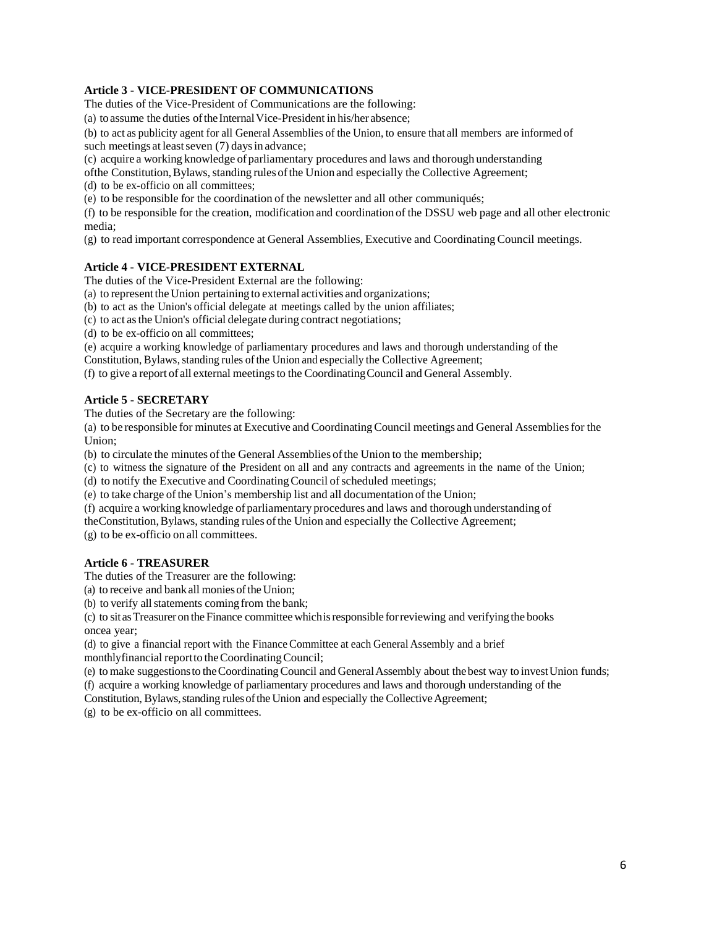#### **Article 3 - VICE-PRESIDENT OF COMMUNICATIONS**

The duties of the Vice-President of Communications are the following:

(a) to assume the duties of the Internal Vice-President in his/her absence;

(b) to act as publicity agent for all General Assemblies of the Union, to ensure that all members are informed of such meetings at least seven (7) days in advance;

(c) acquire a working knowledge of parliamentary procedures and laws and thorough understanding

of the Constitution, Bylaws, standing rules of the Union and especially the Collective Agreement;

(d) to be ex-officio on all committees;

(e) to be responsible for the coordination of the newsletter and all other communiqués;

(f) to be responsible for the creation, modification and coordination of the DSSU web page and all other electronic media;

(g) to read important correspondence at General Assemblies, Executive and Coordinating Council meetings.

#### **Article 4 - VICE-PRESIDENT EXTERNAL**

The duties of the Vice-President External are the following:

(a) to representthe Union pertaining to external activities and organizations;

(b) to act as the Union's official delegate at meetings called by the union affiliates;

(c) to act asthe Union's official delegate during contract negotiations;

(d) to be ex-officio on all committees;

(e) acquire a working knowledge of parliamentary procedures and laws and thorough understanding of the

Constitution, Bylaws, standing rules of the Union and especially the Collective Agreement;

(f) to give a report of all external meetingsto the CoordinatingCouncil and General Assembly.

#### **Article 5 - SECRETARY**

The duties of the Secretary are the following:

(a) to be responsible for minutes at Executive and CoordinatingCouncil meetings and General Assembliesfor the Union;

(b) to circulate the minutes ofthe General Assemblies ofthe Union to the membership;

(c) to witness the signature of the President on all and any contracts and agreements in the name of the Union;

(d) to notify the Executive and Coordinating Council of scheduled meetings;

(e) to take charge of the Union's membership list and all documentation of the Union;

(f) acquire a working knowledge of parliamentary procedures and laws and thorough understanding of

theConstitution,Bylaws, standing rules ofthe Union and especially the Collective Agreement;

(g) to be ex-officio on all committees.

#### **Article 6 - TREASURER**

The duties of the Treasurer are the following:

(a) to receive and bankall moniesoftheUnion;

(b) to verify all statements coming from the bank;

(c) to sitasTreasureron theFinance committee whichisresponsible forreviewing and verifying the books oncea year;

(d) to give a financial report with the FinanceCommittee at each General Assembly and a brief monthlyfinancial report to the Coordinating Council;

(e) to make suggestionsto theCoordinatingCouncil and GeneralAssembly about thebest way to investUnion funds;

(f) acquire a working knowledge of parliamentary procedures and laws and thorough understanding of the

Constitution, Bylaws, standing rules of the Union and especially the Collective Agreement;

(g) to be ex-officio on all committees.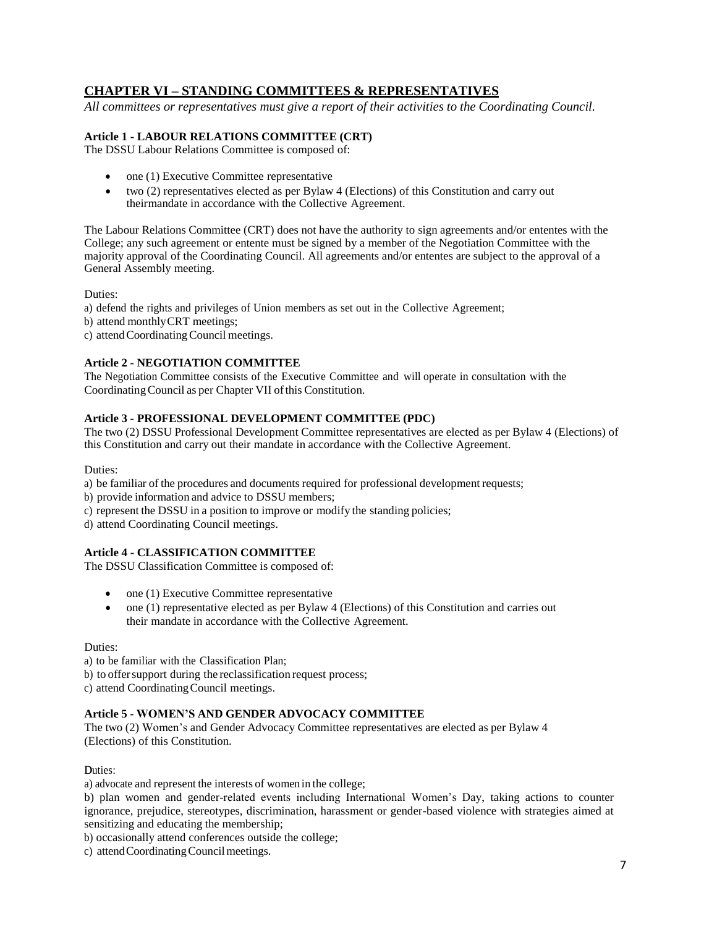## **CHAPTER VI – STANDING COMMITTEES & REPRESENTATIVES**

*All committees or representatives must give a report of their activities to the Coordinating Council.*

#### **Article 1 - LABOUR RELATIONS COMMITTEE (CRT)**

The DSSU Labour Relations Committee is composed of:

- one (1) Executive Committee representative
- two (2) representatives elected as per Bylaw 4 (Elections) of this Constitution and carry out theirmandate in accordance with the Collective Agreement.

The Labour Relations Committee (CRT) does not have the authority to sign agreements and/or ententes with the College; any such agreement or entente must be signed by a member of the Negotiation Committee with the majority approval of the Coordinating Council. All agreements and/or ententes are subject to the approval of a General Assembly meeting.

Duties:

a) defend the rights and privileges of Union members as set out in the Collective Agreement;

b) attend monthlyCRT meetings;

c) attend Coordinating Council meetings.

#### **Article 2 - NEGOTIATION COMMITTEE**

The Negotiation Committee consists of the Executive Committee and will operate in consultation with the Coordinating Council as per Chapter VII of this Constitution.

#### **Article 3 - PROFESSIONAL DEVELOPMENT COMMITTEE (PDC)**

The two (2) DSSU Professional Development Committee representatives are elected as per Bylaw 4 (Elections) of this Constitution and carry out their mandate in accordance with the Collective Agreement.

Duties:

a) be familiar of the procedures and documents required for professional development requests;

b) provide information and advice to DSSU members;

- c) represent the DSSU in a position to improve or modify the standing policies;
- d) attend Coordinating Council meetings.

#### **Article 4 - CLASSIFICATION COMMITTEE**

The DSSU Classification Committee is composed of:

- one (1) Executive Committee representative
- one (1) representative elected as per Bylaw 4 (Elections) of this Constitution and carries out their mandate in accordance with the Collective Agreement.

#### Duties:

a) to be familiar with the Classification Plan;

b) to offer support during the reclassification request process;

c) attend CoordinatingCouncil meetings.

#### **Article 5 - WOMEN'S AND GENDER ADVOCACY COMMITTEE**

The two (2) Women's and Gender Advocacy Committee representatives are elected as per Bylaw 4 (Elections) of this Constitution.

#### Duties:

a) advocate and represent the interests of women in the college;

b) plan women and gender-related events including International Women's Day, taking actions to counter ignorance, prejudice, stereotypes, discrimination, harassment or gender-based violence with strategies aimed at sensitizing and educating the membership;

b) occasionally attend conferences outside the college;

c) attend Coordinating Council meetings.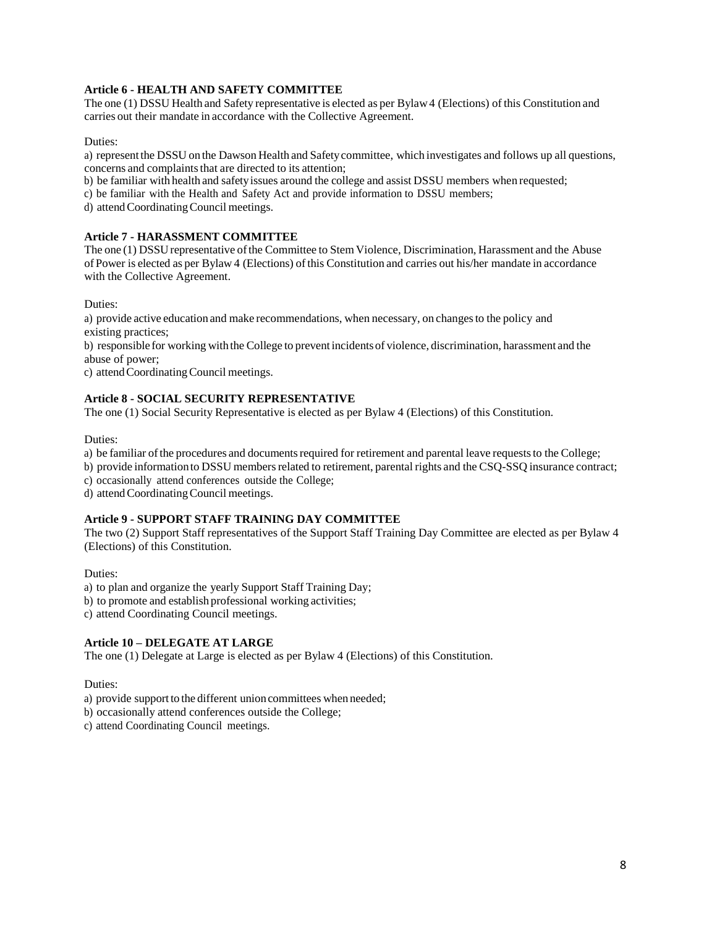### **Article 6 - HEALTH AND SAFETY COMMITTEE**

The one (1) DSSU Health and Safety representative is elected as per Bylaw4 (Elections) of this Constitution and carries out their mandate in accordance with the Collective Agreement.

#### Duties:

a) representthe DSSU on the Dawson Health and Safetycommittee, which investigates and follows up all questions, concerns and complaints that are directed to its attention;

b) be familiar with health and safetyissues around the college and assist DSSU members when requested;

c) be familiar with the Health and Safety Act and provide information to DSSU members;

d) attendCoordinatingCouncil meetings.

#### **Article 7 - HARASSMENT COMMITTEE**

The one (1) DSSU representative of the Committee to Stem Violence, Discrimination, Harassment and the Abuse ofPower is elected as per Bylaw 4 (Elections) ofthis Constitution and carries out his/her mandate in accordance with the Collective Agreement.

Duties:

a) provide active education and make recommendations, when necessary, on changesto the policy and existing practices;

b) responsible for working with the College to prevent incidentsof violence, discrimination, harassment and the abuse of power;

c) attendCoordinatingCouncil meetings.

#### **Article 8 - SOCIAL SECURITY REPRESENTATIVE**

The one (1) Social Security Representative is elected as per Bylaw 4 (Elections) of this Constitution.

Duties:

a) be familiar of the procedures and documents required for retirement and parental leave requests to the College;

b) provide information to DSSU members related to retirement, parental rights and the CSQ-SSQ insurance contract;

c) occasionally attend conferences outside the College;

d) attendCoordinatingCouncil meetings.

#### **Article 9 - SUPPORT STAFF TRAINING DAY COMMITTEE**

The two (2) Support Staff representatives of the Support Staff Training Day Committee are elected as per Bylaw 4 (Elections) of this Constitution.

Duties:

a) to plan and organize the yearly Support Staff Training Day;

b) to promote and establish professional working activities;

c) attend Coordinating Council meetings.

#### **Article 10 – DELEGATE AT LARGE**

The one (1) Delegate at Large is elected as per Bylaw 4 (Elections) of this Constitution.

Duties:

- a) provide support to the different unioncommittees when needed;
- b) occasionally attend conferences outside the College;
- c) attend Coordinating Council meetings.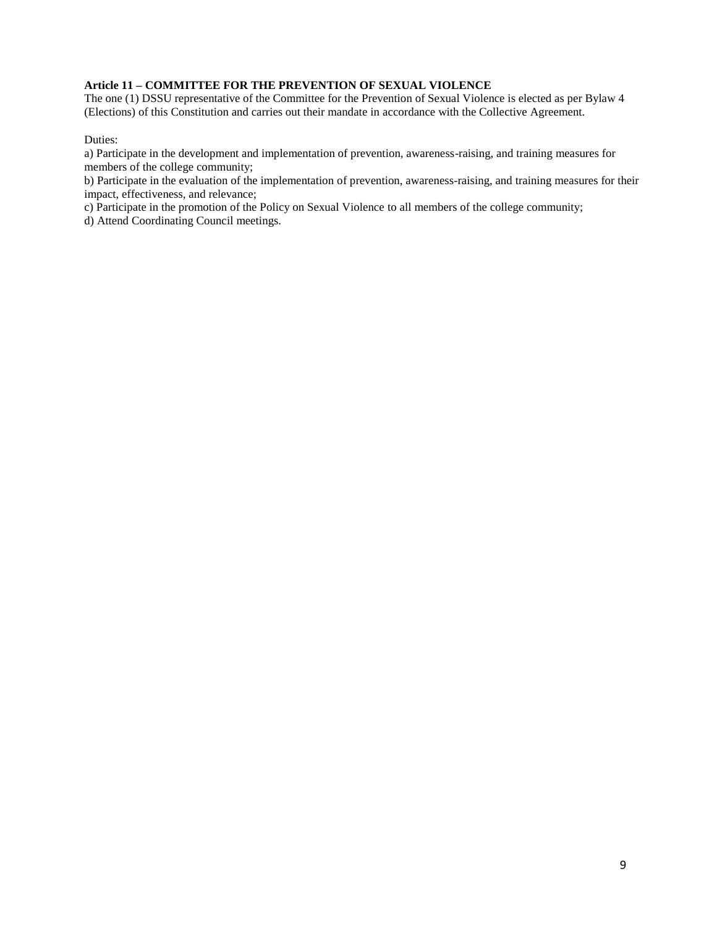#### **Article 11 – COMMITTEE FOR THE PREVENTION OF SEXUAL VIOLENCE**

The one (1) DSSU representative of the Committee for the Prevention of Sexual Violence is elected as per Bylaw 4 (Elections) of this Constitution and carries out their mandate in accordance with the Collective Agreement.

Duties:

a) Participate in the development and implementation of prevention, awareness-raising, and training measures for members of the college community;

b) Participate in the evaluation of the implementation of prevention, awareness-raising, and training measures for their impact, effectiveness, and relevance;

c) Participate in the promotion of the Policy on Sexual Violence to all members of the college community;

d) Attend Coordinating Council meetings.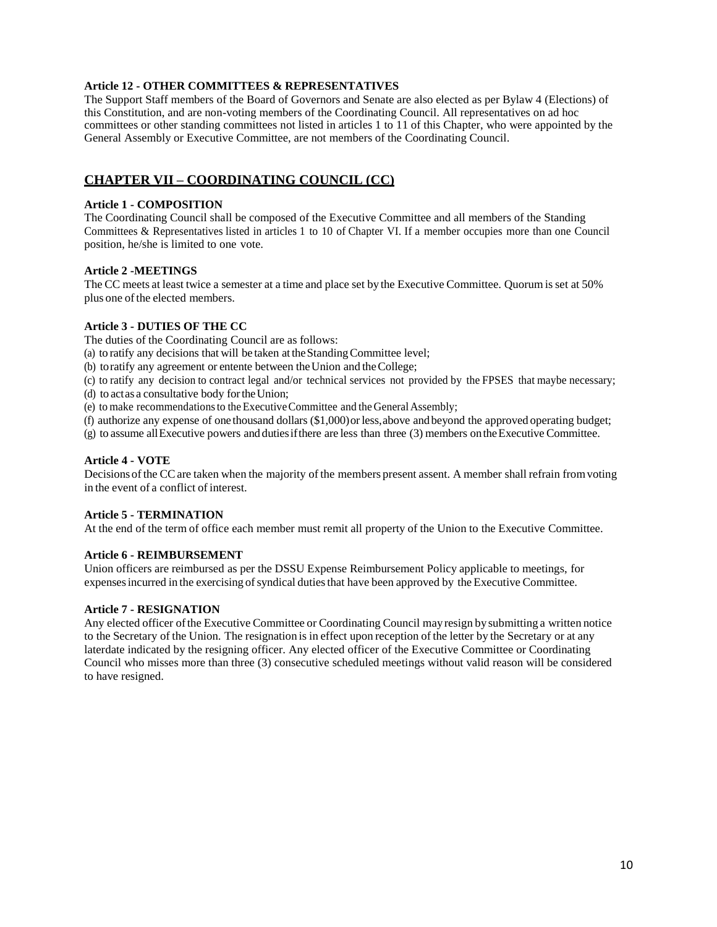#### **Article 12 - OTHER COMMITTEES & REPRESENTATIVES**

The Support Staff members of the Board of Governors and Senate are also elected as per Bylaw 4 (Elections) of this Constitution, and are non-voting members of the Coordinating Council. All representatives on ad hoc committees or other standing committees not listed in articles 1 to 11 of this Chapter, who were appointed by the General Assembly or Executive Committee, are not members of the Coordinating Council.

## **CHAPTER VII – COORDINATING COUNCIL (CC)**

#### **Article 1 - COMPOSITION**

The Coordinating Council shall be composed of the Executive Committee and all members of the Standing Committees & Representatives listed in articles 1 to 10 of Chapter VI. If a member occupies more than one Council position, he/she is limited to one vote.

#### **Article 2 -MEETINGS**

The CC meets at least twice a semester at a time and place set by the Executive Committee. Quorum is set at 50% plus one of the elected members.

#### **Article 3 - DUTIES OF THE CC**

The duties of the Coordinating Council are as follows:

(a) to ratify any decisions that will be taken at theStandingCommittee level;

(b) toratify any agreement or entente between the Union and the College;

(c) to ratify any decision to contract legal and/or technical services not provided by the FPSES that maybe necessary; (d) to actas a consultative body fortheUnion;

(e) to make recommendations to the Executive Committee and the General Assembly;

(f) authorize any expense of one thousand dollars (\$1,000)orless,above and beyond the approved operating budget;

(g) to assume allExecutive powers and dutiesifthere are less than three (3) members ontheExecutive Committee.

#### **Article 4 - VOTE**

Decisions ofthe CCare taken when the majority of the members present assent. A member shall refrain fromvoting in the event of a conflict of interest.

#### **Article 5 - TERMINATION**

At the end of the term of office each member must remit all property of the Union to the Executive Committee.

#### **Article 6 - REIMBURSEMENT**

Union officers are reimbursed as per the DSSU Expense Reimbursement Policy applicable to meetings, for expenses incurred in the exercising of syndical duties that have been approved by the Executive Committee.

#### **Article 7 - RESIGNATION**

Any elected officer ofthe Executive Committee or Coordinating Council mayresign by submitting a written notice to the Secretary of the Union. The resignation is in effect upon reception of the letter by the Secretary or at any laterdate indicated by the resigning officer. Any elected officer of the Executive Committee or Coordinating Council who misses more than three (3) consecutive scheduled meetings without valid reason will be considered to have resigned.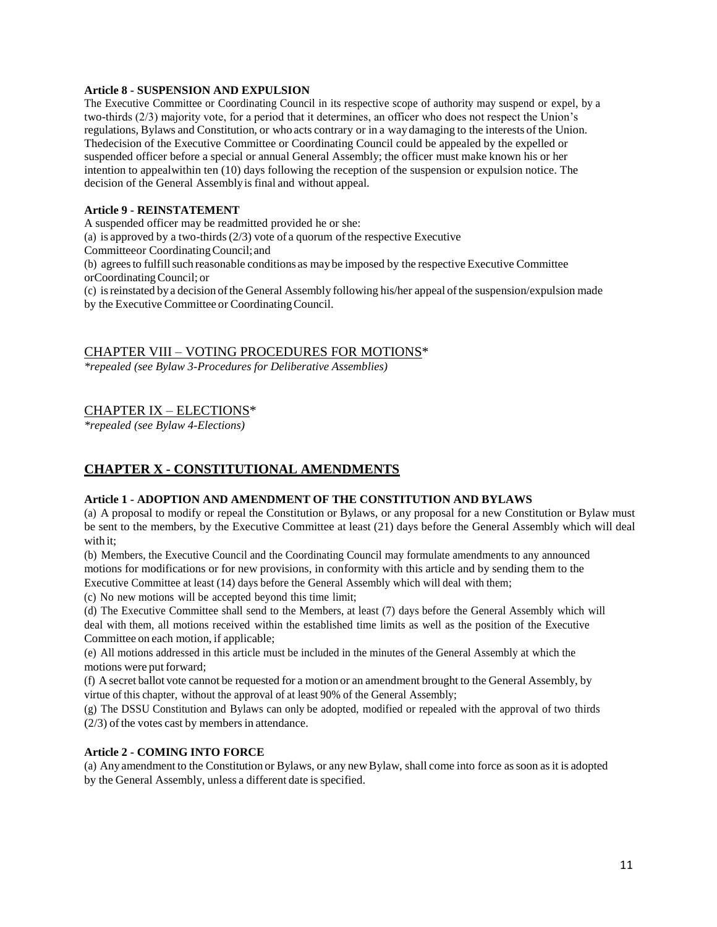#### **Article 8 - SUSPENSION AND EXPULSION**

The Executive Committee or Coordinating Council in its respective scope of authority may suspend or expel, by a two-thirds (2/3) majority vote, for a period that it determines, an officer who does not respect the Union's regulations, Bylaws and Constitution, or who acts contrary or in a way damaging to the interests of the Union. Thedecision of the Executive Committee or Coordinating Council could be appealed by the expelled or suspended officer before a special or annual General Assembly; the officer must make known his or her intention to appealwithin ten (10) days following the reception of the suspension or expulsion notice. The decision of the General Assemblyis final and without appeal.

#### **Article 9 - REINSTATEMENT**

A suspended officer may be readmitted provided he or she:

(a) is approved by a two-thirds  $(2/3)$  vote of a quorum of the respective Executive

Committeeor CoordinatingCouncil;and

(b) agrees to fulfill such reasonable conditions as may be imposed by the respective Executive Committee orCoordinatingCouncil; or

(c) isreinstated bya decision ofthe General Assembly following his/her appeal ofthe suspension/expulsion made by the Executive Committee or Coordinating Council.

CHAPTER VIII – VOTING PROCEDURES FOR MOTIONS\*

*\*repealed (see Bylaw 3-Procedures for Deliberative Assemblies)*

## CHAPTER IX – ELECTIONS\*

*\*repealed (see Bylaw 4-Elections)*

## **CHAPTER X - CONSTITUTIONAL AMENDMENTS**

#### **Article 1 - ADOPTION AND AMENDMENT OF THE CONSTITUTION AND BYLAWS**

(a) A proposal to modify or repeal the Constitution or Bylaws, or any proposal for a new Constitution or Bylaw must be sent to the members, by the Executive Committee at least (21) days before the General Assembly which will deal with it:

(b) Members, the Executive Council and the Coordinating Council may formulate amendments to any announced motions for modifications or for new provisions, in conformity with this article and by sending them to the Executive Committee at least (14) days before the General Assembly which will deal with them;

(c) No new motions will be accepted beyond this time limit;

(d) The Executive Committee shall send to the Members, at least (7) days before the General Assembly which will deal with them, all motions received within the established time limits as well as the position of the Executive Committee on each motion, if applicable;

(e) All motions addressed in this article must be included in the minutes of the General Assembly at which the motions were put forward;

(f) A secret ballot vote cannot be requested for a motion or an amendment brought to the General Assembly, by virtue of this chapter, without the approval of at least 90% of the General Assembly;

(g) The DSSU Constitution and Bylaws can only be adopted, modified or repealed with the approval of two thirds  $(2/3)$  of the votes cast by members in attendance.

### **Article 2 - COMING INTO FORCE**

(a) Any amendment to the Constitution or Bylaws, or any newBylaw, shall come into force assoon asit is adopted by the General Assembly, unless a different date is specified.